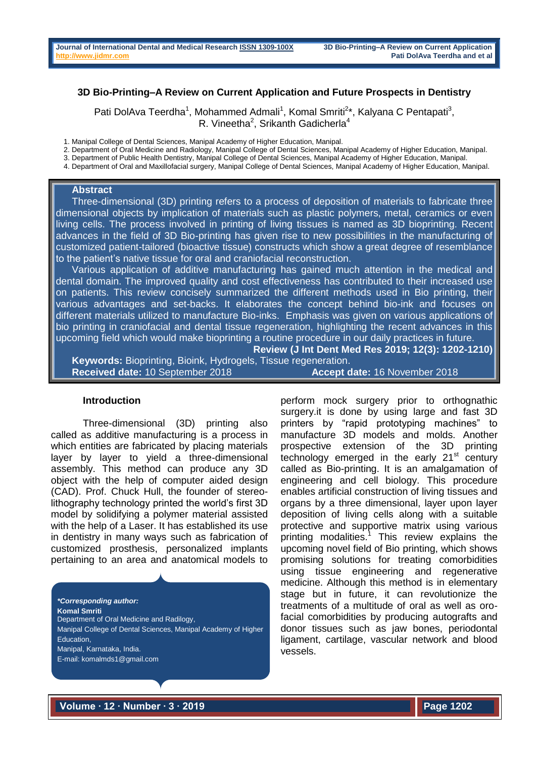## **3D Bio-Printing–A Review on Current Application and Future Prospects in Dentistry**

Pati DolAva Teerdha<sup>1</sup>, Mohammed Admali<sup>1</sup>, Komal Smriti<sup>2\*</sup>, Kalyana C Pentapati<sup>3</sup>, R. Vineetha<sup>2</sup>, Srikanth Gadicherla<sup>4</sup>

1. Manipal College of Dental Sciences, Manipal Academy of Higher Education, Manipal.

2. Department of Oral Medicine and Radiology, Manipal College of Dental Sciences, Manipal Academy of Higher Education, Manipal.

3. Department of Public Health Dentistry, Manipal College of Dental Sciences, Manipal Academy of Higher Education, Manipal.

4. Department of Oral and Maxillofacial surgery, Manipal College of Dental Sciences, Manipal Academy of Higher Education, Manipal.

#### **Abstract**

Three-dimensional (3D) printing refers to a process of deposition of materials to fabricate three dimensional objects by implication of materials such as plastic polymers, metal, ceramics or even living cells. The process involved in printing of living tissues is named as 3D bioprinting. Recent advances in the field of 3D Bio-printing has given rise to new possibilities in the manufacturing of customized patient-tailored (bioactive tissue) constructs which show a great degree of resemblance to the patient's native tissue for oral and craniofacial reconstruction.

Various application of additive manufacturing has gained much attention in the medical and dental domain. The improved quality and cost effectiveness has contributed to their increased use on patients. This review concisely summarized the different methods used in Bio printing, their various advantages and set-backs. It elaborates the concept behind bio-ink and focuses on different materials utilized to manufacture Bio-inks. Emphasis was given on various applications of bio printing in craniofacial and dental tissue regeneration, highlighting the recent advances in this upcoming field which would make bioprinting a routine procedure in our daily practices in future. **Review (J Int Dent Med Res 2019; 12(3): 1202-1210)** 

**Keywords:** Bioprinting, Bioink, Hydrogels, Tissue regeneration. **Received date:** 10 September 2018 **Accept date:** 16 November 2018

#### **Introduction**

Three-dimensional (3D) printing also called as additive manufacturing is a process in which entities are fabricated by placing materials layer by layer to yield a three-dimensional assembly. This method can produce any 3D object with the help of computer aided design (CAD). Prof. Chuck Hull, the founder of stereolithography technology printed the world's first 3D model by solidifying a polymer material assisted with the help of a Laser. It has established its use in dentistry in many ways such as fabrication of customized prosthesis, personalized implants pertaining to an area and anatomical models to

*\*Corresponding author:* **Komal Smriti** Department of Oral Medicine and Radilogy, Manipal College of Dental Sciences, Manipal Academy of Higher Education, Manipal, Karnataka, India. E-mail: komalmds1@gmail.com

perform mock surgery prior to orthognathic surgery. it is done by using large and fast 3D printers by "rapid prototyping machines" to manufacture 3D models and molds. Another prospective extension of the 3D printing technology emerged in the early  $21<sup>st</sup>$  century called as Bio-printing. It is an amalgamation of engineering and cell biology. This procedure enables artificial construction of living tissues and organs by a three dimensional, layer upon layer deposition of living cells along with a suitable protective and supportive matrix using various printing modalities.<sup>1</sup> This review explains the upcoming novel field of Bio printing, which shows promising solutions for treating comorbidities using tissue engineering and regenerative medicine. Although this method is in elementary stage but in future, it can revolutionize the treatments of a multitude of oral as well as orofacial comorbidities by producing autografts and donor tissues such as jaw bones, periodontal ligament, cartilage, vascular network and blood vessels.

**Volume ∙ 12 ∙ Number ∙ 3 ∙ 2019**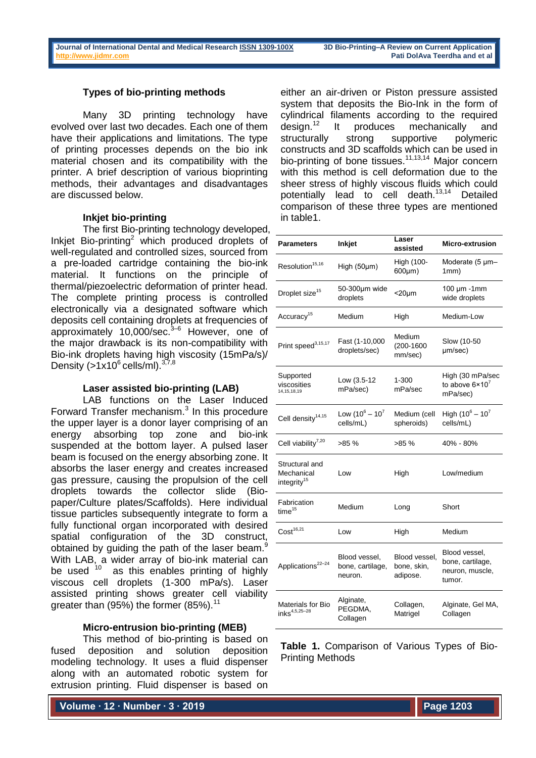### **Types of bio-printing methods**

Many 3D printing technology have evolved over last two decades. Each one of them have their applications and limitations. The type of printing processes depends on the bio ink material chosen and its compatibility with the printer. A brief description of various bioprinting methods, their advantages and disadvantages are discussed below.

#### **Inkjet bio-printing**

The first Bio-printing technology developed, Inkjet Bio-printing<sup>2</sup> which produced droplets of well-regulated and controlled sizes, sourced from a pre-loaded cartridge containing the bio-ink material. It functions on the principle of thermal/piezoelectric deformation of printer head. The complete printing process is controlled electronically via a designated software which deposits cell containing droplets at frequencies of approximately 10,000/sec. $3-6$  However, one of the major drawback is its non-compatibility with Bio-ink droplets having high viscosity (15mPa/s)/ Density ( $>1x10^6$  cells/ml).  $37,8$ 

#### **Laser assisted bio-printing (LAB)**

LAB functions on the Laser Induced Forward Transfer mechanism. $3$  In this procedure the upper layer is a donor layer comprising of an energy absorbing top zone and bio-ink suspended at the bottom layer. A pulsed laser beam is focused on the energy absorbing zone. It absorbs the laser energy and creates increased gas pressure, causing the propulsion of the cell droplets towards the collector slide (Biopaper/Culture plates/Scaffolds). Here individual tissue particles subsequently integrate to form a fully functional organ incorporated with desired spatial configuration of the 3D construct, obtained by guiding the path of the laser beam.<sup>9</sup> With LAB, a wider array of bio-ink material can be used  $10$  as this enables printing of highly viscous cell droplets (1-300 mPa/s). Laser assisted printing shows greater cell viability greater than (95%) the former  $(85\%)$ .<sup>11</sup>

### **Micro-entrusion bio-printing (MEB)**

This method of bio-printing is based on fused deposition and solution deposition modeling technology. It uses a fluid dispenser along with an automated robotic system for extrusion printing. Fluid dispenser is based on

**Volume ∙ 12 ∙ Number ∙ 3 ∙ 2019**

either an air-driven or Piston pressure assisted system that deposits the Bio-Ink in the form of cylindrical filaments according to the required<br>design.<sup>12</sup> It produces mechanically and It produces mechanically and structurally strong supportive polymeric constructs and 3D scaffolds which can be used in bio-printing of bone tissues.<sup>11,13,14</sup> Major concern with this method is cell deformation due to the sheer stress of highly viscous fluids which could potentially lead to cell death.<sup>13,14</sup> Detailed comparison of these three types are mentioned in table1.

| <b>Parameters</b>                                       | Inkjet                                       | Laser<br>assisted                        | <b>Micro-extrusion</b>                                         |
|---------------------------------------------------------|----------------------------------------------|------------------------------------------|----------------------------------------------------------------|
| Resolution <sup>15,16</sup>                             | High (50µm)                                  | High (100-<br>600µm)                     | Moderate (5 µm-<br>1mm)                                        |
| Droplet size <sup>15</sup>                              | 50-300µm wide<br>droplets                    | $<$ 20 $\mu$ m                           | $100 \mu m - 1 mm$<br>wide droplets                            |
| Accuracy <sup>15</sup>                                  | Medium                                       | High                                     | Medium-Low                                                     |
| Print speed <sup>3,15,17</sup>                          | Fast (1-10,000<br>droplets/sec)              | Medium<br>$(200 - 1600)$<br>mm/sec)      | Slow (10-50<br>µm/sec)                                         |
| Supported<br>viscosities<br>14, 15, 18, 19              | Low (3.5-12<br>mPa/sec)                      | 1-300<br>mPa/sec                         | High (30 mPa/sec<br>to above $6 \times 10^7$<br>mPa/sec)       |
| Cell density <sup>14,15</sup>                           | Low $(10^6 - 10^7)$<br>cells/mL)             | Medium (cell<br>spheroids)               | High $(10^6 - 10^7)$<br>cells/mL)                              |
| Cell viability <sup>7,20</sup>                          | >85 %                                        | >85%                                     | 40% - 80%                                                      |
| Structural and<br>Mechanical<br>integrity <sup>15</sup> | Low                                          | High                                     | Low/medium                                                     |
| Fabrication<br>$time^{15}$                              | Medium                                       | Long                                     | Short                                                          |
| Cost <sup>16,21</sup>                                   | Low                                          | High                                     | Medium                                                         |
| Applications <sup>22-24</sup>                           | Blood vessel,<br>bone, cartilage,<br>neuron. | Blood vessel.<br>bone, skin,<br>adipose. | Blood vessel,<br>bone, cartilage,<br>neuron, muscle,<br>tumor. |
| Materials for Bio<br>$inks^{4,5,25-28}$                 | Alginate,<br>PEGDMA,<br>Collagen             | Collagen,<br>Matrigel                    | Alginate, Gel MA,<br>Collagen                                  |

**Table 1.** Comparison of Various Types of Bio-Printing Methods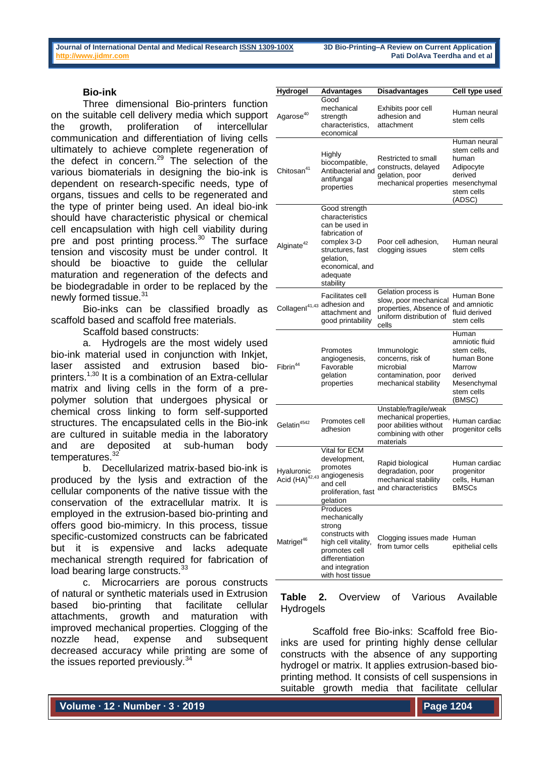### **Bio-ink**

Three dimensional Bio-printers function on the suitable cell delivery media which support the growth, proliferation of intercellular communication and differentiation of living cells ultimately to achieve complete regeneration of the defect in concern. $29$  The selection of the various biomaterials in designing the bio-ink is dependent on research-specific needs, type of organs, tissues and cells to be regenerated and the type of printer being used. An ideal bio-ink should have characteristic physical or chemical cell encapsulation with high cell viability during pre and post printing process.<sup>30</sup> The surface tension and viscosity must be under control. It should be bioactive to guide the cellular maturation and regeneration of the defects and be biodegradable in order to be replaced by the newly formed tissue.<sup>31</sup>

Bio-inks can be classified broadly as scaffold based and scaffold free materials.

Scaffold based constructs:

a. Hydrogels are the most widely used bio-ink material used in conjunction with Inkjet, laser assisted and extrusion based bioprinters.<sup>1,30</sup> It is a combination of an Extra-cellular matrix and living cells in the form of a prepolymer solution that undergoes physical or chemical cross linking to form self-supported structures. The encapsulated cells in the Bio-ink are cultured in suitable media in the laboratory and are deposited at sub-human body temperatures.<sup>32</sup>

b. Decellularized matrix-based bio-ink is produced by the lysis and extraction of the cellular components of the native tissue with the conservation of the extracellular matrix. It is employed in the extrusion-based bio-printing and offers good bio-mimicry. In this process, tissue specific-customized constructs can be fabricated but it is expensive and lacks adequate mechanical strength required for fabrication of load bearing large constructs.<sup>33</sup>

c. Microcarriers are porous constructs of natural or synthetic materials used in Extrusion based bio-printing that facilitate cellular attachments, growth and maturation with improved mechanical properties. Clogging of the nozzle head, expense and subsequent decreased accuracy while printing are some of the issues reported previously.<sup>34</sup>

| Hydrogel                | <b>Advantages</b><br>Good                                                                                                                                        | <b>Disadvantages</b>                                                                                           | Cell type used                                                                                                   |
|-------------------------|------------------------------------------------------------------------------------------------------------------------------------------------------------------|----------------------------------------------------------------------------------------------------------------|------------------------------------------------------------------------------------------------------------------|
| Agarose <sup>40</sup>   | mechanical<br>strength<br>characteristics,<br>economical                                                                                                         | Exhibits poor cell<br>adhesion and<br>attachment                                                               | Human neural<br>stem cells                                                                                       |
| Chitosan <sup>41</sup>  | Highly<br>biocompatible,<br>Antibacterial and<br>antifungal<br>properties                                                                                        | Restricted to small<br>constructs, delayed<br>gelation, poor<br>mechanical properties                          | Human neural<br>stem cells and<br>human<br>Adipocyte<br>derived<br>mesenchymal<br>stem cells<br>(ADSC)           |
| Alginate <sup>42</sup>  | Good strength<br>characteristics<br>can be used in<br>fabrication of<br>complex 3-D<br>structures, fast<br>gelation,<br>economical, and<br>adequate<br>stability | Poor cell adhesion,<br>clogging issues                                                                         | Human neural<br>stem cells                                                                                       |
|                         | Facilitates cell<br>Collagenl <sup>41,43</sup> adhesion and<br>attachment and<br>good printability                                                               | Gelation process is<br>slow, poor mechanical<br>properties, Absence of<br>uniform distribution of<br>cells     | Human Bone<br>and amniotic<br>fluid derived<br>stem cells                                                        |
| Fibrin <sup>44</sup>    | Promotes<br>angiogenesis,<br>Favorable<br>gelation<br>properties                                                                                                 | Immunologic<br>concerns, risk of<br>microbial<br>contamination, poor<br>mechanical stability                   | Human<br>amniotic fluid<br>stem cells.<br>human Bone<br>Marrow<br>derived<br>Mesenchymal<br>stem cells<br>(BMSC) |
| Gelatin <sup>4542</sup> | Promotes cell<br>adhesion                                                                                                                                        | Unstable/fragile/weak<br>mechanical properties,<br>poor abilities without<br>combining with other<br>materials | Human cardiac<br>progenitor cells                                                                                |
| Hyaluronic              | Vital for ECM<br>development,<br>promotes<br>Acid (HA) <sup>42,43</sup> angiogenesis<br>gelation                                                                 | Rapid biological<br>degradation, poor<br>mechanical stability<br>proliferation, fast and characteristics       | Human cardiac<br>progenitor<br>cells, Human<br><b>BMSCs</b>                                                      |
| Matrigel <sup>46</sup>  | Produces<br>mechanically<br>strong<br>constructs with<br>high cell vitality,<br>promotes cell<br>differentiation<br>and integration<br>with host tissue          | Clogging issues made Human<br>from tumor cells                                                                 | epithelial cells                                                                                                 |

### **Table 2.** Overview of Various Available Hydrogels

Scaffold free Bio-inks: Scaffold free Bioinks are used for printing highly dense cellular constructs with the absence of any supporting hydrogel or matrix. It applies extrusion-based bioprinting method. It consists of cell suspensions in suitable growth media that facilitate cellular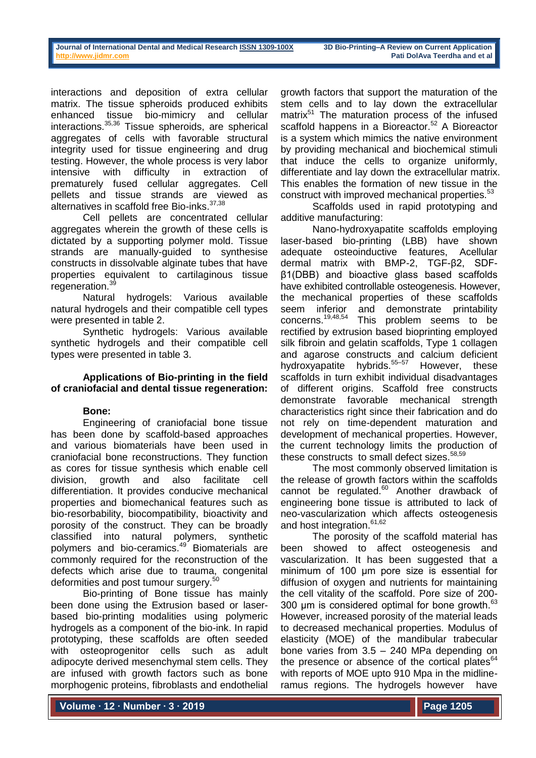interactions and deposition of extra cellular matrix. The tissue spheroids produced exhibits enhanced tissue bio-mimicry and cellular interactions.35,36 Tissue spheroids, are spherical aggregates of cells with favorable structural integrity used for tissue engineering and drug testing. However, the whole process is very labor intensive with difficulty in extraction of prematurely fused cellular aggregates. Cell pellets and tissue strands are viewed as alternatives in scaffold free Bio-inks.<sup>37,38</sup>

Cell pellets are concentrated cellular aggregates wherein the growth of these cells is dictated by a supporting polymer mold. Tissue strands are manually-guided to synthesise constructs in dissolvable alginate tubes that have properties equivalent to cartilaginous tissue regeneration.<sup>39</sup>

Natural hydrogels: Various available natural hydrogels and their compatible cell types were presented in table 2.

Synthetic hydrogels: Various available synthetic hydrogels and their compatible cell types were presented in table 3.

## **Applications of Bio-printing in the field of craniofacial and dental tissue regeneration:**

# **Bone:**

Engineering of craniofacial bone tissue has been done by scaffold-based approaches and various biomaterials have been used in craniofacial bone reconstructions. They function as cores for tissue synthesis which enable cell division, growth and also facilitate cell differentiation. It provides conducive mechanical properties and biomechanical features such as bio-resorbability, biocompatibility, bioactivity and porosity of the construct. They can be broadly classified into natural polymers, synthetic polymers and bio-ceramics.<sup>49</sup> Biomaterials are commonly required for the reconstruction of the defects which arise due to trauma, congenital<br>defermities and peet tumour surgers<sup>50</sup> deformities and post tumour surgery.<sup>5</sup>

Bio-printing of Bone tissue has mainly been done using the Extrusion based or laserbased bio-printing modalities using polymeric hydrogels as a component of the bio-ink. In rapid prototyping, these scaffolds are often seeded with osteoprogenitor cells such as adult adipocyte derived mesenchymal stem cells. They are infused with growth factors such as bone morphogenic proteins, fibroblasts and endothelial

growth factors that support the maturation of the stem cells and to lay down the extracellular matrix<sup>51</sup> The maturation process of the infused scaffold happens in a Bioreactor.<sup>52</sup> A Bioreactor is a system which mimics the native environment by providing mechanical and biochemical stimuli that induce the cells to organize uniformly, differentiate and lay down the extracellular matrix. This enables the formation of new tissue in the construct with improved mechanical properties.<sup>53</sup>

Scaffolds used in rapid prototyping and additive manufacturing:

Nano-hydroxyapatite scaffolds employing laser-based bio-printing (LBB) have shown adequate osteoinductive features, Acellular dermal matrix with BMP-2, TGF-β2, SDFβ1(DBB) and bioactive glass based scaffolds have exhibited controllable osteogenesis. However, the mechanical properties of these scaffolds seem inferior and demonstrate printability<br>concerns.<sup>19,48,54</sup> This problem seems to be This problem seems to be rectified by extrusion based bioprinting employed silk fibroin and gelatin scaffolds. Type 1 collagen and agarose constructs and calcium deficient hydroxyapatite hybrids.<sup>55–57</sup> However, these scaffolds in turn exhibit individual disadvantages of different origins. Scaffold free constructs demonstrate favorable mechanical strength characteristics right since their fabrication and do not rely on time-dependent maturation and development of mechanical properties. However, the current technology limits the production of these constructs to small defect sizes.<sup>58,59</sup>

The most commonly observed limitation is the release of growth factors within the scaffolds cannot be regulated. $60^{\circ}$  Another drawback of engineering bone tissue is attributed to lack of neo-vascularization which affects osteogenesis and host integration.<sup>61,62</sup>

The porosity of the scaffold material has been showed to affect osteogenesis and vascularization. It has been suggested that a minimum of 100 µm pore size is essential for diffusion of oxygen and nutrients for maintaining the cell vitality of the scaffold. Pore size of 200- 300 µm is considered optimal for bone growth.<sup>63</sup> However, increased porosity of the material leads to decreased mechanical properties. Modulus of elasticity (MOE) of the mandibular trabecular bone varies from 3.5 – 240 MPa depending on the presence or absence of the cortical plates $64$ with reports of MOE upto 910 Mpa in the midlineramus regions. The hydrogels however have

**Volume ∙ 12 ∙ Number ∙ 3 ∙ 2019**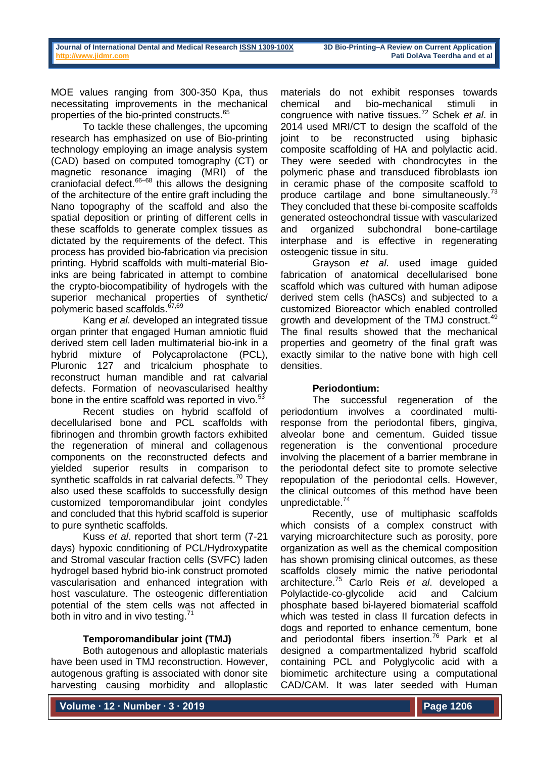MOE values ranging from 300-350 Kpa, thus necessitating improvements in the mechanical properties of the bio-printed constructs.<sup>65</sup>

To tackle these challenges, the upcoming research has emphasized on use of Bio-printing technology employing an image analysis system (CAD) based on computed tomography (CT) or magnetic resonance imaging (MRI) of the  $c$ raniofacial defect. $66-68$  this allows the designing of the architecture of the entire graft including the Nano topography of the scaffold and also the spatial deposition or printing of different cells in these scaffolds to generate complex tissues as dictated by the requirements of the defect. This process has provided bio-fabrication via precision printing. Hybrid scaffolds with multi-material Bioinks are being fabricated in attempt to combine the crypto-biocompatibility of hydrogels with the superior mechanical properties of synthetic/ polymeric based scaffolds.<sup>67,69</sup>

Kang *et al*. developed an integrated tissue organ printer that engaged Human amniotic fluid derived stem cell laden multimaterial bio-ink in a hybrid mixture of Polycaprolactone (PCL), Pluronic 127 and tricalcium phosphate to reconstruct human mandible and rat calvarial defects. Formation of neovascularised healthy bone in the entire scaffold was reported in vivo.<sup>53</sup>

Recent studies on hybrid scaffold of decellularised bone and PCL scaffolds with fibrinogen and thrombin growth factors exhibited the regeneration of mineral and collagenous components on the reconstructed defects and yielded superior results in comparison to synthetic scaffolds in rat calvarial defects. $70$  They also used these scaffolds to successfully design customized temporomandibular joint condyles and concluded that this hybrid scaffold is superior to pure synthetic scaffolds.

Kuss *et al*. reported that short term (7-21 days) hypoxic conditioning of PCL/Hydroxypatite and Stromal vascular fraction cells (SVFC) laden hydrogel based hybrid bio-ink construct promoted vascularisation and enhanced integration with host vasculature. The osteogenic differentiation potential of the stem cells was not affected in both in vitro and in vivo testing.<sup>71</sup>

### **Temporomandibular joint (TMJ)**

Both autogenous and alloplastic materials have been used in TMJ reconstruction. However, autogenous grafting is associated with donor site harvesting causing morbidity and alloplastic materials do not exhibit responses towards chemical and bio-mechanical stimuli in congruence with native tissues.<sup>72</sup> Schek *et al*. in 2014 used MRI/CT to design the scaffold of the joint to be reconstructed using biphasic composite scaffolding of HA and polylactic acid. They were seeded with chondrocytes in the polymeric phase and transduced fibroblasts ion in ceramic phase of the composite scaffold to produce cartilage and bone simultaneously.<sup>73</sup> They concluded that these bi-composite scaffolds generated osteochondral tissue with vascularized and organized subchondral bone-cartilage interphase and is effective in regenerating osteogenic tissue in situ.

Grayson *et al*. used image guided fabrication of anatomical decellularised bone scaffold which was cultured with human adipose derived stem cells (hASCs) and subjected to a customized Bioreactor which enabled controlled growth and development of the TMJ construct.<sup>49</sup> The final results showed that the mechanical properties and geometry of the final graft was exactly similar to the native bone with high cell densities.

### **Periodontium:**

The successful regeneration of the periodontium involves a coordinated multiresponse from the periodontal fibers, gingiva, alveolar bone and cementum. Guided tissue regeneration is the conventional procedure involving the placement of a barrier membrane in the periodontal defect site to promote selective repopulation of the periodontal cells. However, the clinical outcomes of this method have been unpredictable.<sup>74</sup>

Recently, use of multiphasic scaffolds which consists of a complex construct with varying microarchitecture such as porosity, pore organization as well as the chemical composition has shown promising clinical outcomes, as these scaffolds closely mimic the native periodontal architecture.<sup>75</sup> Carlo Reis *et al*. developed a Polylactide-co-glycolide acid and Calcium phosphate based bi-layered biomaterial scaffold which was tested in class II furcation defects in dogs and reported to enhance cementum, bone and periodontal fibers insertion.<sup>76</sup> Park et al designed a compartmentalized hybrid scaffold containing PCL and Polyglycolic acid with a biomimetic architecture using a computational CAD/CAM. It was later seeded with Human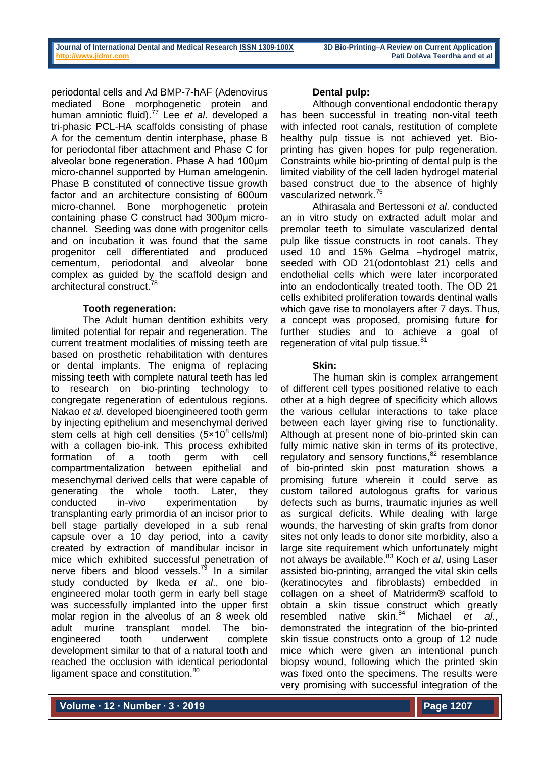periodontal cells and Ad BMP-7-hAF (Adenovirus mediated Bone morphogenetic protein and human amniotic fluid).<sup>77</sup> Lee *et al*. developed a tri-phasic PCL-HA scaffolds consisting of phase A for the cementum dentin interphase, phase B for periodontal fiber attachment and Phase C for alveolar bone regeneration. Phase A had 100µm micro-channel supported by Human amelogenin. Phase B constituted of connective tissue growth factor and an architecture consisting of 600um micro-channel. Bone morphogenetic protein containing phase C construct had 300µm microchannel. Seeding was done with progenitor cells and on incubation it was found that the same progenitor cell differentiated and produced cementum, periodontal and alveolar bone complex as guided by the scaffold design and architectural construct.<sup>78</sup>

## **Tooth regeneration:**

The Adult human dentition exhibits very limited potential for repair and regeneration. The current treatment modalities of missing teeth are based on prosthetic rehabilitation with dentures or dental implants. The enigma of replacing missing teeth with complete natural teeth has led to research on bio-printing technology to congregate regeneration of edentulous regions. Nakao *et al*. developed bioengineered tooth germ by injecting epithelium and mesenchymal derived stem cells at high cell densities  $(5 \times 10^8 \text{ cells/ml})$ with a collagen bio-ink. This process exhibited formation of a tooth germ with cell compartmentalization between epithelial and mesenchymal derived cells that were capable of generating the whole tooth. Later, they conducted in-vivo experimentation by transplanting early primordia of an incisor prior to bell stage partially developed in a sub renal capsule over a 10 day period, into a cavity created by extraction of mandibular incisor in mice which exhibited successful penetration of nerve fibers and blood vessels.<sup>79</sup> In a similar study conducted by Ikeda *et al*., one bioengineered molar tooth germ in early bell stage was successfully implanted into the upper first molar region in the alveolus of an 8 week old adult murine transplant model. The bioengineered tooth underwent complete development similar to that of a natural tooth and reached the occlusion with identical periodontal ligament space and constitution.<sup>80</sup>

# **Dental pulp:**

Although conventional endodontic therapy has been successful in treating non-vital teeth with infected root canals, restitution of complete healthy pulp tissue is not achieved yet. Bioprinting has given hopes for pulp regeneration. Constraints while bio-printing of dental pulp is the limited viability of the cell laden hydrogel material based construct due to the absence of highly vascularized network.<sup>75</sup>

Athirasala and Bertessoni *et al*. conducted an in vitro study on extracted adult molar and premolar teeth to simulate vascularized dental pulp like tissue constructs in root canals. They used 10 and 15% Gelma –hydrogel matrix, seeded with OD 21(odontoblast 21) cells and endothelial cells which were later incorporated into an endodontically treated tooth. The OD 21 cells exhibited proliferation towards dentinal walls which gave rise to monolayers after 7 days. Thus, a concept was proposed, promising future for further studies and to achieve a goal of regeneration of vital pulp tissue.<sup>81</sup>

# **Skin:**

The human skin is complex arrangement of different cell types positioned relative to each other at a high degree of specificity which allows the various cellular interactions to take place between each layer giving rise to functionality. Although at present none of bio-printed skin can fully mimic native skin in terms of its protective, regulatory and sensory functions,<sup>82</sup> resemblance of bio-printed skin post maturation shows a promising future wherein it could serve as custom tailored autologous grafts for various defects such as burns, traumatic injuries as well as surgical deficits. While dealing with large wounds, the harvesting of skin grafts from donor sites not only leads to donor site morbidity, also a large site requirement which unfortunately might not always be available.<sup>83</sup> Koch *et al*, using Laser assisted bio-printing, arranged the vital skin cells (keratinocytes and fibroblasts) embedded in collagen on a sheet of Matriderm® scaffold to obtain a skin tissue construct which greatly resembled native skin.<sup>84</sup> Michael *et al*., demonstrated the integration of the bio-printed skin tissue constructs onto a group of 12 nude mice which were given an intentional punch biopsy wound, following which the printed skin was fixed onto the specimens. The results were very promising with successful integration of the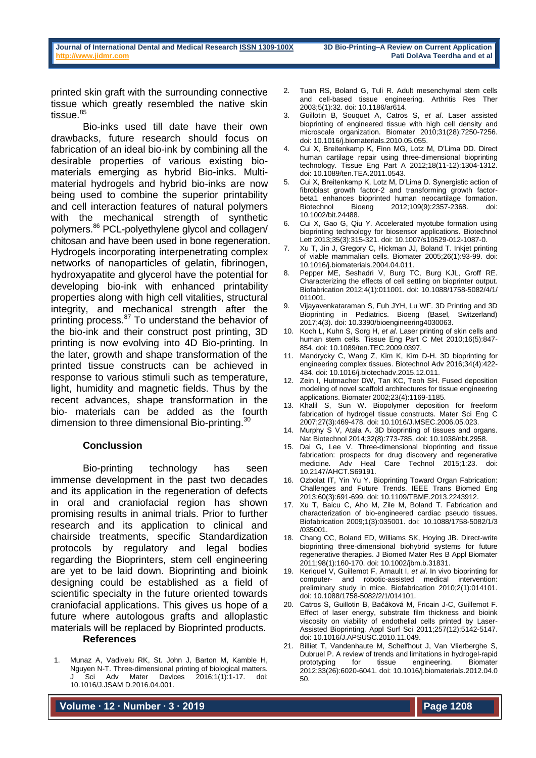printed skin graft with the surrounding connective tissue which greatly resembled the native skin tissue. $85$ 

Bio-inks used till date have their own drawbacks, future research should focus on fabrication of an ideal bio-ink by combining all the desirable properties of various existing biomaterials emerging as hybrid Bio-inks. Multimaterial hydrogels and hybrid bio-inks are now being used to combine the superior printability and cell interaction features of natural polymers with the mechanical strength of synthetic polymers.<sup>86</sup> PCL-polyethylene glycol and collagen/ chitosan and have been used in bone regeneration. Hydrogels incorporating interpenetrating complex networks of nanoparticles of gelatin, fibrinogen, hydroxyapatite and glycerol have the potential for developing bio-ink with enhanced printability properties along with high cell vitalities, structural integrity, and mechanical strength after the printing process.<sup>87</sup> To understand the behavior of the bio-ink and their construct post printing, 3D printing is now evolving into 4D Bio-printing. In the later, growth and shape transformation of the printed tissue constructs can be achieved in response to various stimuli such as temperature, light, humidity and magnetic fields. Thus by the recent advances, shape transformation in the bio- materials can be added as the fourth dimension to three dimensional Bio-printing.<sup>30</sup>

#### **Conclussion**

Bio-printing technology has seen immense development in the past two decades and its application in the regeneration of defects in oral and craniofacial region has shown promising results in animal trials. Prior to further research and its application to clinical and chairside treatments, specific Standardization protocols by regulatory and legal bodies regarding the Bioprinters, stem cell engineering are yet to be laid down. Bioprinting and bioink designing could be established as a field of scientific specialty in the future oriented towards craniofacial applications. This gives us hope of a future where autologous grafts and alloplastic materials will be replaced by Bioprinted products.

#### **References**

1. Munaz A, Vadivelu RK, St. John J, Barton M, Kamble H, Nguyen N-T. Three-dimensional printing of biological matters. Sci Adv Mater Devices 2016;1(1):1-17. doi: 10.1016/J.JSAM D.2016.04.001.

- 2. Tuan RS, Boland G, Tuli R. Adult mesenchymal stem cells and cell-based tissue engineering. Arthritis Res Ther 2003;5(1):32. doi: 10.1186/ar614.
- 3. Guillotin B, Souquet A, Catros S, *et al*. Laser assisted bioprinting of engineered tissue with high cell density and microscale organization. Biomater 2010;31(28):7250-7256. doi: 10.1016/j.biomaterials.2010.05.055.
- 4. Cui X, Breitenkamp K, Finn MG, Lotz M, D'Lima DD. Direct human cartilage repair using three-dimensional bioprinting technology. Tissue Eng Part A 2012;18(11-12):1304-1312. doi: 10.1089/ten.TEA.2011.0543.
- 5. Cui X, Breitenkamp K, Lotz M, D'Lima D. Synergistic action of fibroblast growth factor-2 and transforming growth factorbeta1 enhances bioprinted human neocartilage formation.<br>Biotechnol Bioeng 2012;109(9):2357-2368. doi: 2012;109(9):2357-2368. doi: 10.1002/bit.24488.
- 6. Cui X, Gao G, Qiu Y. Accelerated myotube formation using bioprinting technology for biosensor applications. Biotechnol Lett 2013;35(3):315-321. doi: 10.1007/s10529-012-1087-0.
- 7. Xu T, Jin J, Gregory C, Hickman JJ, Boland T. Inkjet printing of viable mammalian cells. Biomater 2005;26(1):93-99. doi: 10.1016/j.biomaterials.2004.04.011.
- 8. Pepper ME, Seshadri V, Burg TC, Burg KJL, Groff RE. Characterizing the effects of cell settling on bioprinter output. Biofabrication 2012;4(1):011001. doi: 10.1088/1758-5082/4/1/ 011001.
- 9. Vijayavenkataraman S, Fuh JYH, Lu WF. 3D Printing and 3D Bioprinting in Pediatrics. Bioeng (Basel, Switzerland) 2017;4(3). doi: 10.3390/bioengineering4030063.
- 10. Koch L, Kuhn S, Sorg H, *et al*. Laser printing of skin cells and human stem cells. Tissue Eng Part C Met 2010;16(5):847-854. doi: 10.1089/ten.TEC.2009.0397.
- 11. Mandrycky C, Wang Z, Kim K, Kim D-H. 3D bioprinting for engineering complex tissues. Biotechnol Adv 2016;34(4):422- 434. doi: 10.1016/j.biotechadv.2015.12.011.
- 12. Zein I, Hutmacher DW, Tan KC, Teoh SH. Fused deposition modeling of novel scaffold architectures for tissue engineering applications. Biomater 2002;23(4):1169-1185.
- 13. Khalil S, Sun W. Biopolymer deposition for freeform fabrication of hydrogel tissue constructs. Mater Sci Eng C 2007;27(3):469-478. doi: 10.1016/J.MSEC.2006.05.023.
- 14. Murphy S V, Atala A. 3D bioprinting of tissues and organs. Nat Biotechnol 2014;32(8):773-785. doi: 10.1038/nbt.2958.
- 15. Dai G, Lee V. Three-dimensional bioprinting and tissue fabrication: prospects for drug discovery and regenerative medicine. Adv Heal Care Technol 2015;1:23. doi: 10.2147/AHCT.S69191.
- 16. Ozbolat IT, Yin Yu Y. Bioprinting Toward Organ Fabrication: Challenges and Future Trends. IEEE Trans Biomed Eng 2013;60(3):691-699. doi: 10.1109/TBME.2013.2243912.
- 17. Xu T, Baicu C, Aho M, Zile M, Boland T. Fabrication and characterization of bio-engineered cardiac pseudo tissues. Biofabrication 2009;1(3):035001. doi: 10.1088/1758-5082/1/3 /035001.
- 18. Chang CC, Boland ED, Williams SK, Hoying JB. Direct-write bioprinting three-dimensional biohybrid systems for future regenerative therapies. J Biomed Mater Res B Appl Biomater 2011;98(1):160-170. doi: 10.1002/jbm.b.31831.
- 19. Keriquel V, Guillemot F, Arnault I, *et al*. In vivo bioprinting for computer- and robotic-assisted medical intervention: preliminary study in mice. Biofabrication 2010;2(1):014101. doi: 10.1088/1758-5082/2/1/014101.
- 20. Catros S, Guillotin B, Bačáková M, Fricain J-C, Guillemot F. Effect of laser energy, substrate film thickness and bioink viscosity on viability of endothelial cells printed by Laser-Assisted Bioprinting. Appl Surf Sci 2011;257(12):5142-5147. doi: 10.1016/J.APSUSC.2010.11.049.
- 21. Billiet T, Vandenhaute M, Schelfhout J, Van Vlierberghe S, Dubruel P. A review of trends and limitations in hydrogel-rapid prototyping for tissue engineering. Biomater 2012;33(26):6020-6041. doi: 10.1016/j.biomaterials.2012.04.0 50.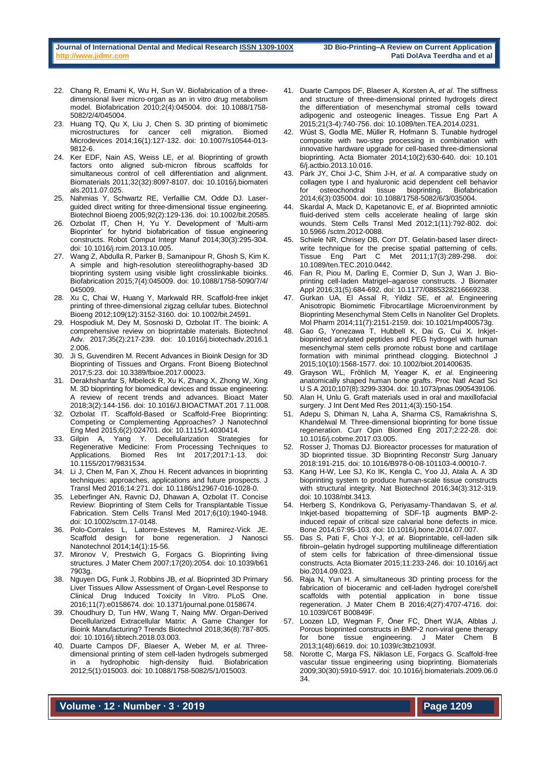- 22. Chang R, Emami K, Wu H, Sun W. Biofabrication of a threedimensional liver micro-organ as an in vitro drug metabolism model. Biofabrication 2010;2(4):045004. doi: 10.1088/1758- 5082/2/4/045004.
- 23. Huang TQ, Qu X, Liu J, Chen S. 3D printing of biomimetic microstructures for cancer cell migration. Biomed Microdevices 2014;16(1):127-132. doi: 10.1007/s10544-013- 9812-6.
- 24. Ker EDF, Nain AS, Weiss LE, *et al*. Bioprinting of growth factors onto aligned sub-micron fibrous scaffolds for simultaneous control of cell differentiation and alignment. Biomaterials 2011;32(32):8097-8107. doi: 10.1016/j.biomateri als.2011.07.025.
- 25. Nahmias Y, Schwartz RE, Verfaillie CM, Odde DJ. Laserguided direct writing for three-dimensional tissue engineering. Biotechnol Bioeng 2005;92(2):129-136. doi: 10.1002/bit.20585.
- 26. Ozbolat IT, Chen H, Yu Y. Development of 'Multi-arm Bioprinter' for hybrid biofabrication of tissue engineering constructs. Robot Comput Integr Manuf 2014;30(3):295-304. doi: 10.1016/j.rcim.2013.10.005.
- 27. Wang Z, Abdulla R, Parker B, Samanipour R, Ghosh S, Kim K. A simple and high-resolution stereolithography-based 3D bioprinting system using visible light crosslinkable bioinks. Biofabrication 2015;7(4):045009. doi: 10.1088/1758-5090/7/4/ 045009
- 28. Xu C, Chai W, Huang Y, Markwald RR. Scaffold-free inkjet printing of three-dimensional zigzag cellular tubes. Biotechnol Bioeng 2012;109(12):3152-3160. doi: 10.1002/bit.24591.
- 29. Hospodiuk M, Dey M, Sosnoski D, Ozbolat IT. The bioink: A comprehensive review on bioprintable materials. Biotechnol Adv. 2017;35(2):217-239. doi: 10.1016/j.biotechadv.2016.1 2.006.
- 30. Ji S, Guvendiren M. Recent Advances in Bioink Design for 3D Bioprinting of Tissues and Organs. Front Bioeng Biotechnol 2017;5:23. doi: 10.3389/fbioe.2017.00023.
- 31. Derakhshanfar S, Mbeleck R, Xu K, Zhang X, Zhong W, Xing M. 3D bioprinting for biomedical devices and tissue engineering: A review of recent trends and advances. Bioact Mater 2018;3(2):144-156. doi: 10.1016/J.BIOACTMAT.201 7.11.008.
- 32. Ozbolat IT. Scaffold-Based or Scaffold-Free Bioprinting: Competing or Complementing Approaches? J Nanotechnol Eng Med 2015;6(2):024701. doi: 10.1115/1.4030414.
- 33. Gilpin A, Yang Y. Decellularization Strategies for Regenerative Medicine: From Processing Techniques to Applications. Biomed Res Int 2017;2017:1-13. doi: 10.1155/2017/9831534.
- 34. Li J, Chen M, Fan X, Zhou H. Recent advances in bioprinting techniques: approaches, applications and future prospects. J Transl Med 2016;14:271. doi: 10.1186/s12967-016-1028-0.
- 35. Leberfinger AN, Ravnic DJ, Dhawan A, Ozbolat IT. Concise Review: Bioprinting of Stem Cells for Transplantable Tissue Fabrication. Stem Cells Transl Med 2017;6(10):1940-1948. doi: 10.1002/sctm.17-0148.
- 36. Polo-Corrales L, Latorre-Esteves M, Ramirez-Vick JE. Scaffold design for bone regeneration. J Nanosci Nanotechnol 2014;14(1):15-56.
- 37. Mironov V, Prestwich G, Forgacs G. Bioprinting living structures. J Mater Chem 2007;17(20):2054. doi: 10.1039/b61 7903g.
- 38. Nguyen DG, Funk J, Robbins JB, *et al*. Bioprinted 3D Primary Liver Tissues Allow Assessment of Organ-Level Response to Clinical Drug Induced Toxicity In Vitro. PLoS One. 2016;11(7):e0158674. doi: 10.1371/journal.pone.0158674.
- 39. Choudhury D, Tun HW, Wang T, Naing MW. Organ-Derived Decellularized Extracellular Matrix: A Game Changer for Bioink Manufacturing? Trends Biotechnol 2018;36(8):787-805. doi: 10.1016/j.tibtech.2018.03.003.
- 40. Duarte Campos DF, Blaeser A, Weber M, *et al*. Threedimensional printing of stem cell-laden hydrogels submerged in a hydrophobic high-density fluid. Biofabrication 2012;5(1):015003. doi: 10.1088/1758-5082/5/1/015003.
- 41. Duarte Campos DF, Blaeser A, Korsten A, *et al*. The stiffness and structure of three-dimensional printed hydrogels direct the differentiation of mesenchymal stromal cells toward adipogenic and osteogenic lineages. Tissue Eng Part A 2015;21(3-4):740-756. doi: 10.1089/ten.TEA.2014.0231.
- 42. Wüst S, Godla ME, Müller R, Hofmann S. Tunable hydrogel composite with two-step processing in combination with innovative hardware upgrade for cell-based three-dimensional bioprinting. Acta Biomater 2014;10(2):630-640. doi: 10.101 6/j.actbio.2013.10.016.
- 43. Park JY, Choi J-C, Shim J-H, *et al*. A comparative study on collagen type I and hyaluronic acid dependent cell behavior for osteochondral tissue bioprinting. Biofabrication 2014;6(3):035004. doi: 10.1088/1758-5082/6/3/035004.
- 44. Skardal A, Mack D, Kapetanovic E, *et al*. Bioprinted amniotic fluid-derived stem cells accelerate healing of large skin wounds. Stem Cells Transl Med 2012;1(11):792-802. doi: 10.5966 /sctm.2012-0088.
- 45. Schiele NR, Chrisey DB, Corr DT. Gelatin-based laser directwrite technique for the precise spatial patterning of cells. Tissue Eng Part C Met 2011;17(3):289-298. doi: 10.1089/ten.TEC.2010.0442.
- 46. Fan R, Piou M, Darling E, Cormier D, Sun J, Wan J. Bioprinting cell-laden Matrigel–agarose constructs. J Biomater Appl 2016;31(5):684-692. doi: 10.1177/0885328216669238.
- 47. Gurkan UA, El Assal R, Yildiz SE, *et al*. Engineering Anisotropic Biomimetic Fibrocartilage Microenvironment by Bioprinting Mesenchymal Stem Cells in Nanoliter Gel Droplets. Mol Pharm 2014;11(7):2151-2159. doi: 10.1021/mp400573g.
- Gao G, Yonezawa T, Hubbell K, Dai G, Cui X. Inkjetbioprinted acrylated peptides and PEG hydrogel with human mesenchymal stem cells promote robust bone and cartilage formation with minimal printhead clogging. Biotechnol J 2015;10(10):1568-1577. doi: 10.1002/biot.201400635.
- 49. Grayson WL, Fröhlich M, Yeager K, *et al*. Engineering anatomically shaped human bone grafts. Proc Natl Acad Sci U S A 2010;107(8):3299-3304. doi: 10.1073/pnas.0905439106.
- 50. Alan H, Unlu G. Graft materials used in oral and maxillofacial surgery. J Int Dent Med Res 2011;4(3):150-154.
- 51. Adepu S, Dhiman N, Laha A, Sharma CS, Ramakrishna S, Khandelwal M. Three-dimensional bioprinting for bone tissue regeneration. Curr Opin Biomed Eng 2017;2:22-28. doi: 10.1016/j.cobme.2017.03.005.
- 52. Rosser J, Thomas DJ. Bioreactor processes for maturation of 3D bioprinted tissue. 3D Bioprinting Reconstr Surg January 2018:191-215. doi: 10.1016/B978-0-08-101103-4.00010-7.
- 53. Kang H-W, Lee SJ, Ko IK, Kengla C, Yoo JJ, Atala A. A 3D bioprinting system to produce human-scale tissue constructs with structural integrity. Nat Biotechnol 2016;34(3):312-319. doi: 10.1038/nbt.3413.
- 54. Herberg S, Kondrikova G, Periyasamy-Thandavan S, *et al*. Inkjet-based biopatterning of SDF-1β augments BMP-2 induced repair of critical size calvarial bone defects in mice. Bone 2014;67:95-103. doi: 10.1016/j.bone.2014.07.007.
- 55. Das S, Pati F, Choi Y-J, *et al*. Bioprintable, cell-laden silk fibroin–gelatin hydrogel supporting multilineage differentiation of stem cells for fabrication of three-dimensional tissue constructs. Acta Biomater 2015;11:233-246. doi: 10.1016/j.act bio.2014.09.023.
- 56. Raja N, Yun H. A simultaneous 3D printing process for the fabrication of bioceramic and cell-laden hydrogel core/shell scaffolds with potential application in bone tissue regeneration. J Mater Chem B 2016;4(27):4707-4716. doi: 10.1039/C6T B00849F.
- Loozen LD, Wegman F, Öner FC, Dhert WJA, Alblas J. Porous bioprinted constructs in BMP-2 non-viral gene therapy<br>for shone tissue engineering J. Mater Chem B. for bone tissue engineering. J Mater 2013;1(48):6619. doi: 10.1039/c3tb21093f.
- Norotte C, Marga FS, Niklason LE, Forgacs G. Scaffold-free vascular tissue engineering using bioprinting. Biomaterials 2009;30(30):5910-5917. doi: 10.1016/j.biomaterials.2009.06.0 34.